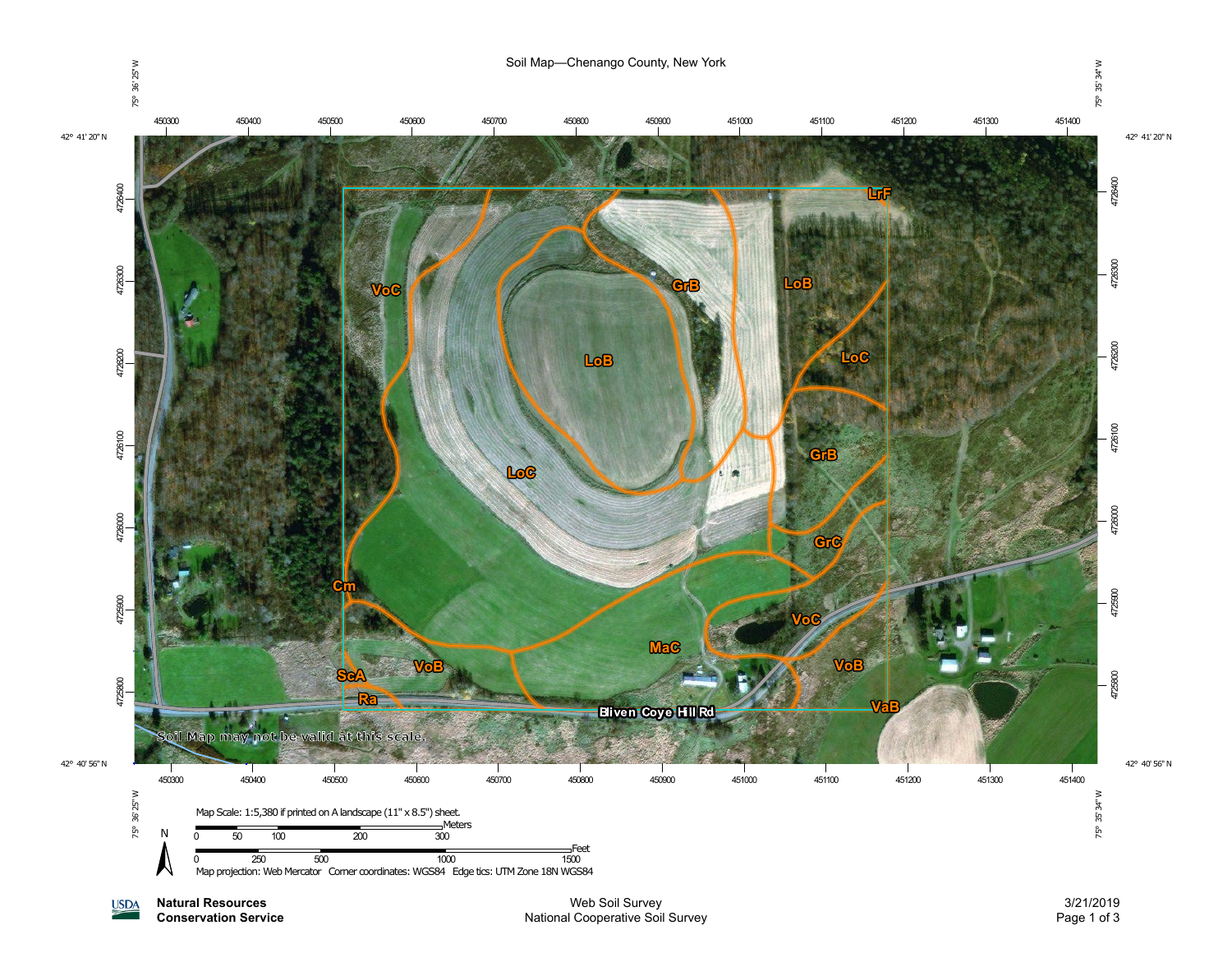

**Natural Resources USDA Conservation Service**

Web Soil Survey National Cooperative Soil Survey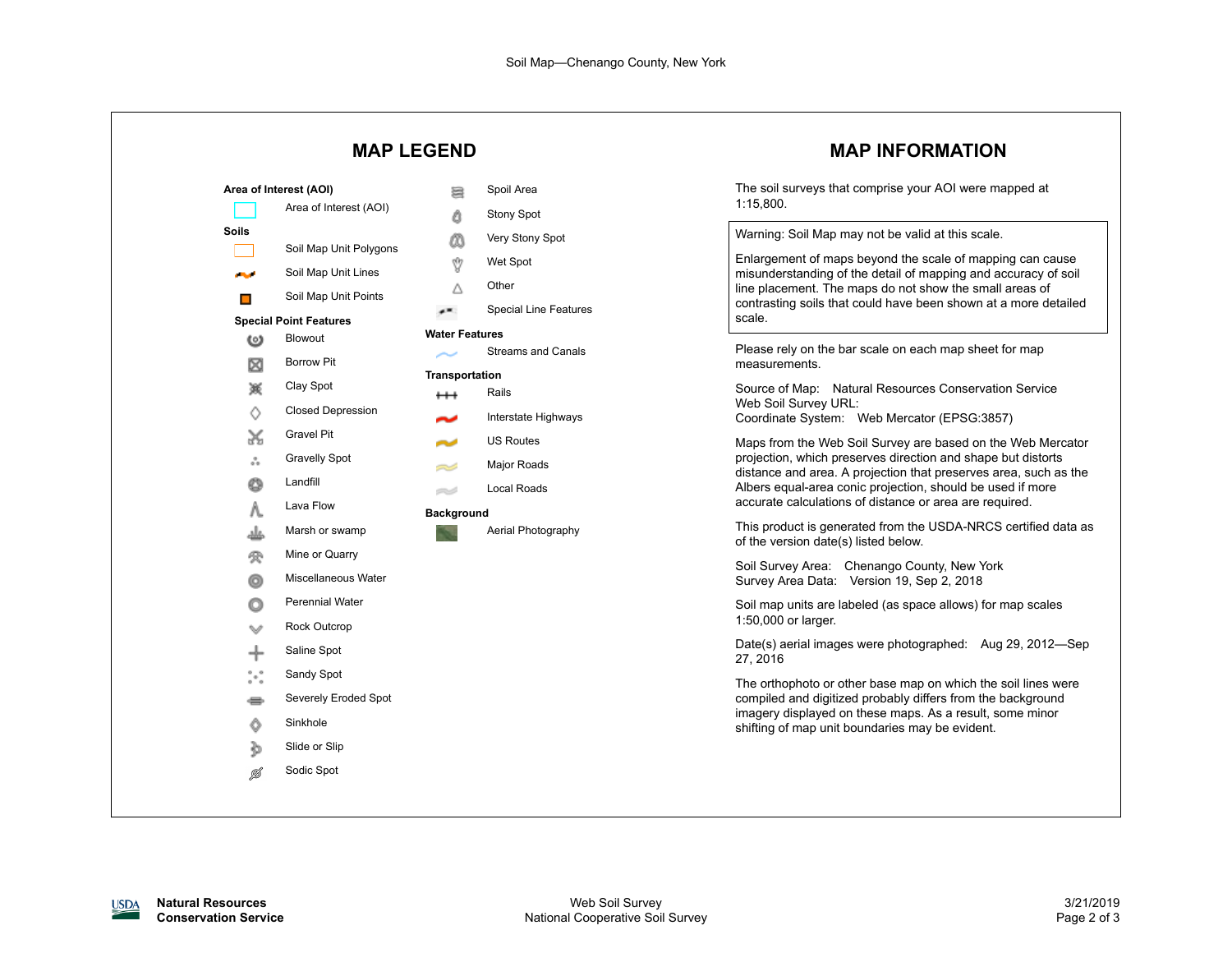